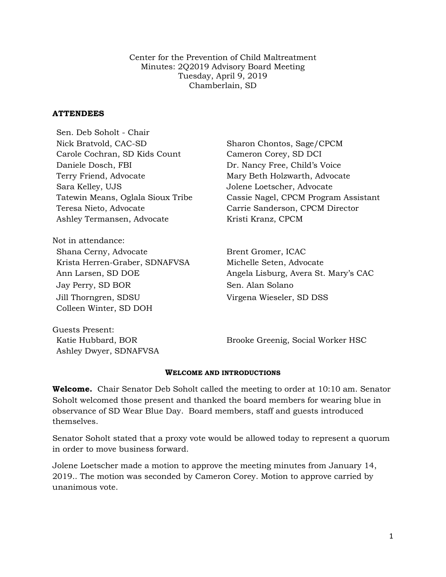Center for the Prevention of Child Maltreatment Minutes: 2Q2019 Advisory Board Meeting Tuesday, April 9, 2019 Chamberlain, SD

#### **ATTENDEES**

Sen. Deb Soholt - Chair Nick Bratvold, CAC-SD Sharon Chontos, Sage/CPCM Carole Cochran, SD Kids Count Cameron Corey, SD DCI Daniele Dosch, FBI Dr. Nancy Free, Child's Voice Terry Friend, Advocate Mary Beth Holzwarth, Advocate Sara Kelley, UJS Jolene Loetscher, Advocate Teresa Nieto, Advocate Carrie Sanderson, CPCM Director Ashley Termansen, Advocate Kristi Kranz, CPCM

Not in attendance: Shana Cerny, Advocate Brent Gromer, ICAC Krista Herren-Graber, SDNAFVSA Michelle Seten, Advocate Jay Perry, SD BOR Sen. Alan Solano Jill Thorngren, SDSU Virgena Wieseler, SD DSS Colleen Winter, SD DOH

Guests Present: Ashley Dwyer, SDNAFVSA

Tatewin Means, Oglala Sioux Tribe Cassie Nagel, CPCM Program Assistant

Ann Larsen, SD DOE Angela Lisburg, Avera St. Mary's CAC

Katie Hubbard, BOR Brooke Greenig, Social Worker HSC

#### **WELCOME AND INTRODUCTIONS**

**Welcome.** Chair Senator Deb Soholt called the meeting to order at 10:10 am. Senator Soholt welcomed those present and thanked the board members for wearing blue in observance of SD Wear Blue Day. Board members, staff and guests introduced themselves.

Senator Soholt stated that a proxy vote would be allowed today to represent a quorum in order to move business forward.

Jolene Loetscher made a motion to approve the meeting minutes from January 14, 2019.. The motion was seconded by Cameron Corey. Motion to approve carried by unanimous vote.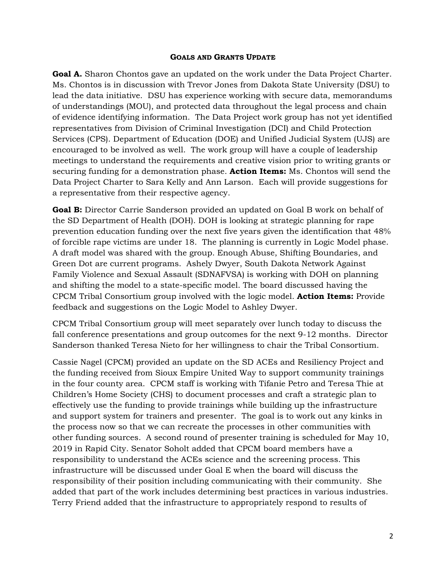#### **GOALS AND GRANTS UPDATE**

**Goal A.** Sharon Chontos gave an updated on the work under the Data Project Charter. Ms. Chontos is in discussion with Trevor Jones from Dakota State University (DSU) to lead the data initiative. DSU has experience working with secure data, memorandums of understandings (MOU), and protected data throughout the legal process and chain of evidence identifying information. The Data Project work group has not yet identified representatives from Division of Criminal Investigation (DCI) and Child Protection Services (CPS). Department of Education (DOE) and Unified Judicial System (UJS) are encouraged to be involved as well. The work group will have a couple of leadership meetings to understand the requirements and creative vision prior to writing grants or securing funding for a demonstration phase. **Action Items:** Ms. Chontos will send the Data Project Charter to Sara Kelly and Ann Larson. Each will provide suggestions for a representative from their respective agency.

**Goal B:** Director Carrie Sanderson provided an updated on Goal B work on behalf of the SD Department of Health (DOH). DOH is looking at strategic planning for rape prevention education funding over the next five years given the identification that 48% of forcible rape victims are under 18. The planning is currently in Logic Model phase. A draft model was shared with the group. Enough Abuse, Shifting Boundaries, and Green Dot are current programs. Ashely Dwyer, South Dakota Network Against Family Violence and Sexual Assault (SDNAFVSA) is working with DOH on planning and shifting the model to a state-specific model. The board discussed having the CPCM Tribal Consortium group involved with the logic model. **Action Items:** Provide feedback and suggestions on the Logic Model to Ashley Dwyer.

CPCM Tribal Consortium group will meet separately over lunch today to discuss the fall conference presentations and group outcomes for the next 9-12 months. Director Sanderson thanked Teresa Nieto for her willingness to chair the Tribal Consortium.

Cassie Nagel (CPCM) provided an update on the SD ACEs and Resiliency Project and the funding received from Sioux Empire United Way to support community trainings in the four county area. CPCM staff is working with Tifanie Petro and Teresa Thie at Children's Home Society (CHS) to document processes and craft a strategic plan to effectively use the funding to provide trainings while building up the infrastructure and support system for trainers and presenter. The goal is to work out any kinks in the process now so that we can recreate the processes in other communities with other funding sources. A second round of presenter training is scheduled for May 10, 2019 in Rapid City. Senator Soholt added that CPCM board members have a responsibility to understand the ACEs science and the screening process. This infrastructure will be discussed under Goal E when the board will discuss the responsibility of their position including communicating with their community. She added that part of the work includes determining best practices in various industries. Terry Friend added that the infrastructure to appropriately respond to results of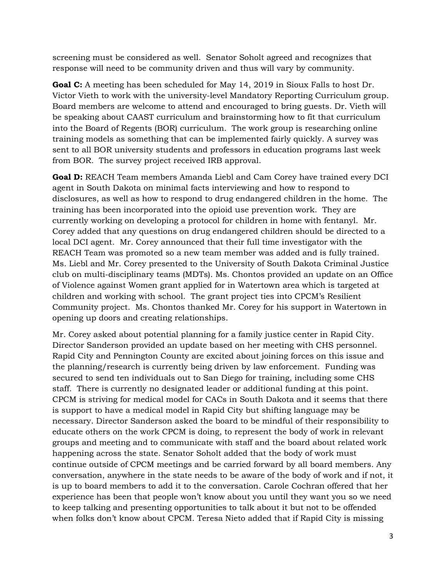screening must be considered as well. Senator Soholt agreed and recognizes that response will need to be community driven and thus will vary by community.

**Goal C:** A meeting has been scheduled for May 14, 2019 in Sioux Falls to host Dr. Victor Vieth to work with the university-level Mandatory Reporting Curriculum group. Board members are welcome to attend and encouraged to bring guests. Dr. Vieth will be speaking about CAAST curriculum and brainstorming how to fit that curriculum into the Board of Regents (BOR) curriculum. The work group is researching online training models as something that can be implemented fairly quickly. A survey was sent to all BOR university students and professors in education programs last week from BOR. The survey project received IRB approval.

**Goal D:** REACH Team members Amanda Liebl and Cam Corey have trained every DCI agent in South Dakota on minimal facts interviewing and how to respond to disclosures, as well as how to respond to drug endangered children in the home. The training has been incorporated into the opioid use prevention work. They are currently working on developing a protocol for children in home with fentanyl. Mr. Corey added that any questions on drug endangered children should be directed to a local DCI agent. Mr. Corey announced that their full time investigator with the REACH Team was promoted so a new team member was added and is fully trained. Ms. Liebl and Mr. Corey presented to the University of South Dakota Criminal Justice club on multi-disciplinary teams (MDTs). Ms. Chontos provided an update on an Office of Violence against Women grant applied for in Watertown area which is targeted at children and working with school. The grant project ties into CPCM's Resilient Community project. Ms. Chontos thanked Mr. Corey for his support in Watertown in opening up doors and creating relationships.

Mr. Corey asked about potential planning for a family justice center in Rapid City. Director Sanderson provided an update based on her meeting with CHS personnel. Rapid City and Pennington County are excited about joining forces on this issue and the planning/research is currently being driven by law enforcement. Funding was secured to send ten individuals out to San Diego for training, including some CHS staff. There is currently no designated leader or additional funding at this point. CPCM is striving for medical model for CACs in South Dakota and it seems that there is support to have a medical model in Rapid City but shifting language may be necessary. Director Sanderson asked the board to be mindful of their responsibility to educate others on the work CPCM is doing, to represent the body of work in relevant groups and meeting and to communicate with staff and the board about related work happening across the state. Senator Soholt added that the body of work must continue outside of CPCM meetings and be carried forward by all board members. Any conversation, anywhere in the state needs to be aware of the body of work and if not, it is up to board members to add it to the conversation. Carole Cochran offered that her experience has been that people won't know about you until they want you so we need to keep talking and presenting opportunities to talk about it but not to be offended when folks don't know about CPCM. Teresa Nieto added that if Rapid City is missing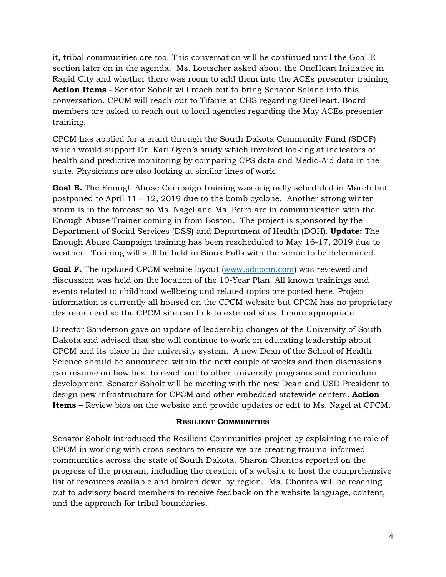it, tribal communities are too. This conversation will be continued until the Goal E section later on in the agenda. Ms. Loetscher asked about the OneHeart Initiative in Rapid City and whether there was room to add them into the ACEs presenter training. **Action Items** - Senator Soholt will reach out to bring Senator Solano into this conversation. CPCM will reach out to Tifanie at CHS regarding OneHeart. Board members are asked to reach out to local agencies regarding the May ACEs presenter training.

CPCM has applied for a grant through the South Dakota Community Fund (SDCF) which would support Dr. Kari Oyen's study which involved looking at indicators of health and predictive monitoring by comparing CPS data and Medic-Aid data in the state. Physicians are also looking at similar lines of work.

**Goal E.** The Enough Abuse Campaign training was originally scheduled in March but postponed to April  $11 - 12$ , 2019 due to the bomb cyclone. Another strong winter storm is in the forecast so Ms. Nagel and Ms. Petro are in communication with the Enough Abuse Trainer coming in from Boston. The project is sponsored by the Department of Social Services (DSS) and Department of Health (DOH). **Update:** The Enough Abuse Campaign training has been rescheduled to May 16-17, 2019 due to weather. Training will still be held in Sioux Falls with the venue to be determined.

**Goal F.** The updated CPCM website layout [\(www.sdcpcm.com\)](http://www.sdcpcm.com/) was reviewed and discussion was held on the location of the 10-Year Plan. All known trainings and events related to childhood wellbeing and related topics are posted here. Project information is currently all housed on the CPCM website but CPCM has no proprietary desire or need so the CPCM site can link to external sites if more appropriate.

Director Sanderson gave an update of leadership changes at the University of South Dakota and advised that she will continue to work on educating leadership about CPCM and its place in the university system. A new Dean of the School of Health Science should be announced within the next couple of weeks and then discussions can resume on how best to reach out to other university programs and curriculum development. Senator Soholt will be meeting with the new Dean and USD President to design new infrastructure for CPCM and other embedded statewide centers. **Action Items** – Review bios on the website and provide updates or edit to Ms. Nagel at CPCM.

### **RESILIENT COMMUNITIES**

Senator Soholt introduced the Resilient Communities project by explaining the role of CPCM in working with cross-sectors to ensure we are creating trauma-informed communities across the state of South Dakota. Sharon Chontos reported on the progress of the program, including the creation of a website to host the comprehensive list of resources available and broken down by region. Ms. Chontos will be reaching out to advisory board members to receive feedback on the website language, content, and the approach for tribal boundaries.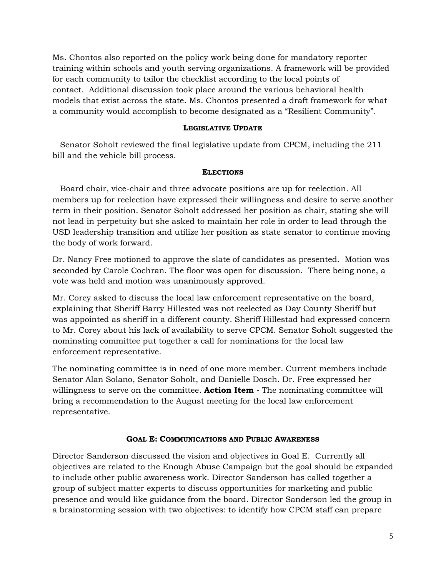Ms. Chontos also reported on the policy work being done for mandatory reporter training within schools and youth serving organizations. A framework will be provided for each community to tailor the checklist according to the local points of contact. Additional discussion took place around the various behavioral health models that exist across the state. Ms. Chontos presented a draft framework for what a community would accomplish to become designated as a "Resilient Community".

### **LEGISLATIVE UPDATE**

 Senator Soholt reviewed the final legislative update from CPCM, including the 211 bill and the vehicle bill process.

### **ELECTIONS**

 Board chair, vice-chair and three advocate positions are up for reelection. All members up for reelection have expressed their willingness and desire to serve another term in their position. Senator Soholt addressed her position as chair, stating she will not lead in perpetuity but she asked to maintain her role in order to lead through the USD leadership transition and utilize her position as state senator to continue moving the body of work forward.

Dr. Nancy Free motioned to approve the slate of candidates as presented. Motion was seconded by Carole Cochran. The floor was open for discussion. There being none, a vote was held and motion was unanimously approved.

Mr. Corey asked to discuss the local law enforcement representative on the board, explaining that Sheriff Barry Hillested was not reelected as Day County Sheriff but was appointed as sheriff in a different county. Sheriff Hillestad had expressed concern to Mr. Corey about his lack of availability to serve CPCM. Senator Soholt suggested the nominating committee put together a call for nominations for the local law enforcement representative.

The nominating committee is in need of one more member. Current members include Senator Alan Solano, Senator Soholt, and Danielle Dosch. Dr. Free expressed her willingness to serve on the committee. **Action Item -** The nominating committee will bring a recommendation to the August meeting for the local law enforcement representative.

### **GOAL E: COMMUNICATIONS AND PUBLIC AWARENESS**

Director Sanderson discussed the vision and objectives in Goal E. Currently all objectives are related to the Enough Abuse Campaign but the goal should be expanded to include other public awareness work. Director Sanderson has called together a group of subject matter experts to discuss opportunities for marketing and public presence and would like guidance from the board. Director Sanderson led the group in a brainstorming session with two objectives: to identify how CPCM staff can prepare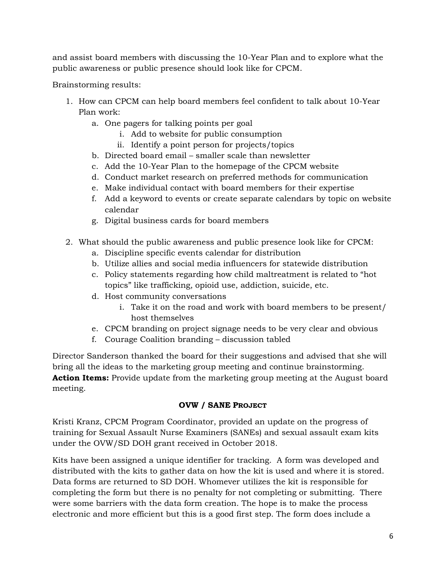and assist board members with discussing the 10-Year Plan and to explore what the public awareness or public presence should look like for CPCM.

Brainstorming results:

- 1. How can CPCM can help board members feel confident to talk about 10-Year Plan work:
	- a. One pagers for talking points per goal
		- i. Add to website for public consumption
		- ii. Identify a point person for projects/topics
	- b. Directed board email smaller scale than newsletter
	- c. Add the 10-Year Plan to the homepage of the CPCM website
	- d. Conduct market research on preferred methods for communication
	- e. Make individual contact with board members for their expertise
	- f. Add a keyword to events or create separate calendars by topic on website calendar
	- g. Digital business cards for board members
- 2. What should the public awareness and public presence look like for CPCM:
	- a. Discipline specific events calendar for distribution
	- b. Utilize allies and social media influencers for statewide distribution
	- c. Policy statements regarding how child maltreatment is related to "hot topics" like trafficking, opioid use, addiction, suicide, etc.
	- d. Host community conversations
		- i. Take it on the road and work with board members to be present/ host themselves
	- e. CPCM branding on project signage needs to be very clear and obvious
	- f. Courage Coalition branding discussion tabled

Director Sanderson thanked the board for their suggestions and advised that she will bring all the ideas to the marketing group meeting and continue brainstorming. **Action Items:** Provide update from the marketing group meeting at the August board meeting.

# **OVW / SANE PROJECT**

Kristi Kranz, CPCM Program Coordinator, provided an update on the progress of training for Sexual Assault Nurse Examiners (SANEs) and sexual assault exam kits under the OVW/SD DOH grant received in October 2018.

Kits have been assigned a unique identifier for tracking. A form was developed and distributed with the kits to gather data on how the kit is used and where it is stored. Data forms are returned to SD DOH. Whomever utilizes the kit is responsible for completing the form but there is no penalty for not completing or submitting. There were some barriers with the data form creation. The hope is to make the process electronic and more efficient but this is a good first step. The form does include a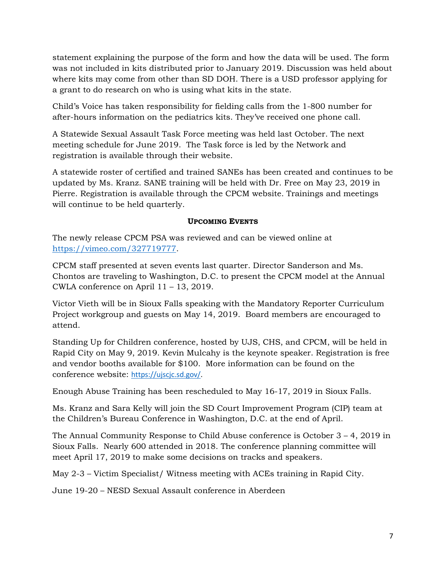statement explaining the purpose of the form and how the data will be used. The form was not included in kits distributed prior to January 2019. Discussion was held about where kits may come from other than SD DOH. There is a USD professor applying for a grant to do research on who is using what kits in the state.

Child's Voice has taken responsibility for fielding calls from the 1-800 number for after-hours information on the pediatrics kits. They've received one phone call.

A Statewide Sexual Assault Task Force meeting was held last October. The next meeting schedule for June 2019. The Task force is led by the Network and registration is available through their website.

A statewide roster of certified and trained SANEs has been created and continues to be updated by Ms. Kranz. SANE training will be held with Dr. Free on May 23, 2019 in Pierre. Registration is available through the CPCM website. Trainings and meetings will continue to be held quarterly.

# **UPCOMING EVENTS**

The newly release CPCM PSA was reviewed and can be viewed online at [https://vimeo.com/327719777.](https://vimeo.com/327719777)

CPCM staff presented at seven events last quarter. Director Sanderson and Ms. Chontos are traveling to Washington, D.C. to present the CPCM model at the Annual CWLA conference on April 11 – 13, 2019.

Victor Vieth will be in Sioux Falls speaking with the Mandatory Reporter Curriculum Project workgroup and guests on May 14, 2019. Board members are encouraged to attend.

Standing Up for Children conference, hosted by UJS, CHS, and CPCM, will be held in Rapid City on May 9, 2019. Kevin Mulcahy is the keynote speaker. Registration is free and vendor booths available for \$100. More information can be found on the conference website: [https://ujscjc.sd.gov/.](https://ujscjc.sd.gov/)

Enough Abuse Training has been rescheduled to May 16-17, 2019 in Sioux Falls.

Ms. Kranz and Sara Kelly will join the SD Court Improvement Program (CIP) team at the Children's Bureau Conference in Washington, D.C. at the end of April.

The Annual Community Response to Child Abuse conference is October 3 – 4, 2019 in Sioux Falls. Nearly 600 attended in 2018. The conference planning committee will meet April 17, 2019 to make some decisions on tracks and speakers.

May 2-3 – Victim Specialist/ Witness meeting with ACEs training in Rapid City.

June 19-20 – NESD Sexual Assault conference in Aberdeen